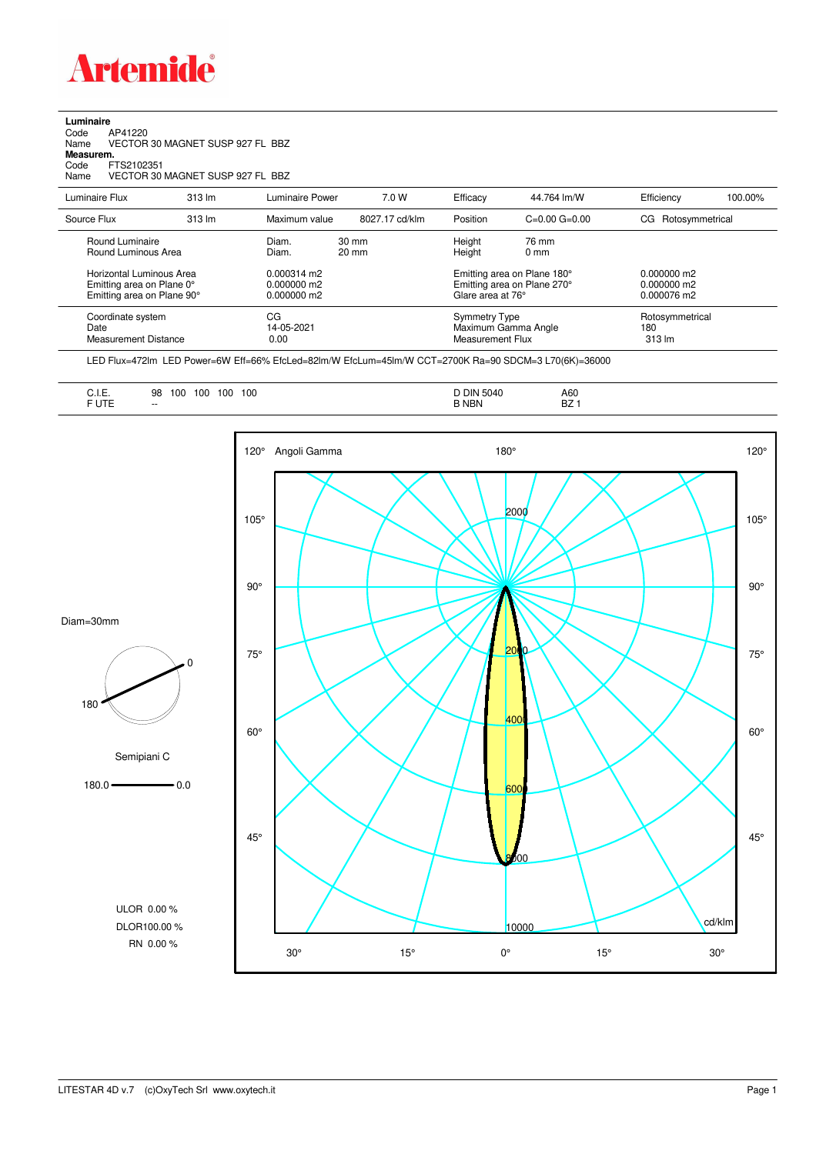

## **Luminaire**<br>Code /<br>Name \ Code AP41220 Name VECTOR 30 MAGNET SUSP 927 FL BBZ **Measurem.** Code FTS2102351<br>Name VECTOR 30 VECTOR 30 MAGNET SUSP 927 FL BBZ

| Luminaire Flux                                                                      | $313 \text{ Im}$ | Luminaire Power                               | 7.0 W                              | Efficacy                                                                        | 44.764 lm/W             | Efficiency                                    | 100.00% |
|-------------------------------------------------------------------------------------|------------------|-----------------------------------------------|------------------------------------|---------------------------------------------------------------------------------|-------------------------|-----------------------------------------------|---------|
| Source Flux                                                                         | 313 lm           | Maximum value                                 | 8027.17 cd/klm                     | Position                                                                        | $C=0.00$ $G=0.00$       | CG Rotosymmetrical                            |         |
| Round Luminaire<br>Round Luminous Area                                              |                  | Diam.<br>Diam.                                | $30 \text{ mm}$<br>$20 \text{ mm}$ | Height<br>Height                                                                | 76 mm<br>$0 \text{ mm}$ |                                               |         |
| Horizontal Luminous Area<br>Emitting area on Plane 0°<br>Emitting area on Plane 90° |                  | $0.000314$ m2<br>0.000000 m2<br>$0.000000$ m2 |                                    | Emitting area on Plane 180°<br>Emitting area on Plane 270°<br>Glare area at 76° |                         | $0.000000$ m2<br>$0.000000$ m2<br>0.000076 m2 |         |
| Coordinate system<br>Date<br><b>Measurement Distance</b>                            |                  | CG<br>14-05-2021<br>0.00                      |                                    | Symmetry Type<br>Measurement Flux                                               | Maximum Gamma Angle     | Rotosymmetrical<br>180<br>$313 \text{ Im}$    |         |

LED Flux=472lm LED Power=6W Eff=66% EfcLed=82lm/W EfcLum=45lm/W CCT=2700K Ra=90 SDCM=3 L70(6K)=36000